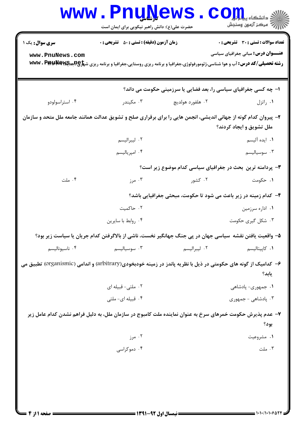| www.PnuNews.com<br><b>رشته تحصیلی/کد درس: آ</b> ب و هوا شناسی،ژئومورفولوژی،جغرافیا و برنامه ریزی روستایی،جغرافیا و برنامه ریزی ش <del>پرچپپپهپه WW</del> V . Ppp ،<br>۰۴ استراسولودو<br>۲- پیروان کدام گونه از جهانی اندیشی، انجمن هایی را برای برقراری صلح و تشویق عدالت همانند جامعه ملل متحد و سازمان<br>۰۴ ملت<br>۵– واقعیت یافتن نقشه ًسیاسی جهان در پی جنگ جهانگیر نخست، ناشی از بالاگرفتن کدام جریان یا سیاست زیر بود؟ | ۰۳ مکیندر<br>٠٢ ليبراليسم<br>۰۴ امپرياليسم<br>۰۳ مرز<br>۰۲ حاکمیت | ا- چه کسی جغرافیای سیاسی را، بعد فضایی یا سرزمینی حکومت می داند؟<br>۰۲ هلفورد هولديچ<br>۳- پردامنه ترین بحث در جغرافیای سیاسی کدام موضوع زیر است؟<br>۰۲ کشور<br>۴- کدام زمینه در زیر باعث می شود تا حکومت، مبحثی جغرافیایی باشد؟ | <b>عنــــوان درس:</b> مبانی جغرافیای سیاسی<br>۰۱ راتزل<br>ملل تشويق و ايجاد كردند؟<br>۰۱ ایده آلیسم<br>۰۳ سوسیالیسم<br>۰۱ حکومت |
|-------------------------------------------------------------------------------------------------------------------------------------------------------------------------------------------------------------------------------------------------------------------------------------------------------------------------------------------------------------------------------------------------------------------------------|-------------------------------------------------------------------|----------------------------------------------------------------------------------------------------------------------------------------------------------------------------------------------------------------------------------|---------------------------------------------------------------------------------------------------------------------------------|
|                                                                                                                                                                                                                                                                                                                                                                                                                               |                                                                   |                                                                                                                                                                                                                                  |                                                                                                                                 |
|                                                                                                                                                                                                                                                                                                                                                                                                                               |                                                                   |                                                                                                                                                                                                                                  |                                                                                                                                 |
|                                                                                                                                                                                                                                                                                                                                                                                                                               |                                                                   |                                                                                                                                                                                                                                  |                                                                                                                                 |
|                                                                                                                                                                                                                                                                                                                                                                                                                               |                                                                   |                                                                                                                                                                                                                                  |                                                                                                                                 |
|                                                                                                                                                                                                                                                                                                                                                                                                                               |                                                                   |                                                                                                                                                                                                                                  |                                                                                                                                 |
|                                                                                                                                                                                                                                                                                                                                                                                                                               |                                                                   |                                                                                                                                                                                                                                  |                                                                                                                                 |
|                                                                                                                                                                                                                                                                                                                                                                                                                               |                                                                   |                                                                                                                                                                                                                                  |                                                                                                                                 |
|                                                                                                                                                                                                                                                                                                                                                                                                                               |                                                                   |                                                                                                                                                                                                                                  |                                                                                                                                 |
|                                                                                                                                                                                                                                                                                                                                                                                                                               |                                                                   |                                                                                                                                                                                                                                  |                                                                                                                                 |
|                                                                                                                                                                                                                                                                                                                                                                                                                               |                                                                   |                                                                                                                                                                                                                                  | ۰۱ اداره سرزمین                                                                                                                 |
|                                                                                                                                                                                                                                                                                                                                                                                                                               | ۰۴ روابط با سايرين                                                |                                                                                                                                                                                                                                  | ۰۳ شکل گیری حکومت                                                                                                               |
|                                                                                                                                                                                                                                                                                                                                                                                                                               |                                                                   |                                                                                                                                                                                                                                  |                                                                                                                                 |
| ۰۴ ناسيوناليسم                                                                                                                                                                                                                                                                                                                                                                                                                | ۰۳ سوسیالیسم                                                      | ۰۲ ليبراليسم                                                                                                                                                                                                                     | ۰۱ کاپیتالیسم                                                                                                                   |
| ۶- کدامیک از گونه های حکومتی در ذیل با نظریه پاندز در زمینه خودبخودی(arbitrary) و اندامی (organismic) تطبیق می                                                                                                                                                                                                                                                                                                                |                                                                   |                                                                                                                                                                                                                                  | يابد؟                                                                                                                           |
|                                                                                                                                                                                                                                                                                                                                                                                                                               | ۰۲ ملتی- قبیله ای                                                 |                                                                                                                                                                                                                                  | ۰۱ جمهوري- پادشاهي                                                                                                              |
|                                                                                                                                                                                                                                                                                                                                                                                                                               | ۰۴ قبیله ای- ملتی                                                 |                                                                                                                                                                                                                                  | ۰۳ پادشاهي - جمهوري                                                                                                             |
| ۷– عدم پذیرش حکومت خمرهای سرخ به عنوان نماینده ملت کامبوج در سازمان ملل، به دلیل فراهم نشدن کدام عامل زیر                                                                                                                                                                                                                                                                                                                     |                                                                   |                                                                                                                                                                                                                                  | يود؟                                                                                                                            |
|                                                                                                                                                                                                                                                                                                                                                                                                                               | ۰۲ مرز                                                            |                                                                                                                                                                                                                                  | ۰۱ مشروعیت                                                                                                                      |
|                                                                                                                                                                                                                                                                                                                                                                                                                               | ۰۴ دموکراسی                                                       |                                                                                                                                                                                                                                  | ۰۳ ملت                                                                                                                          |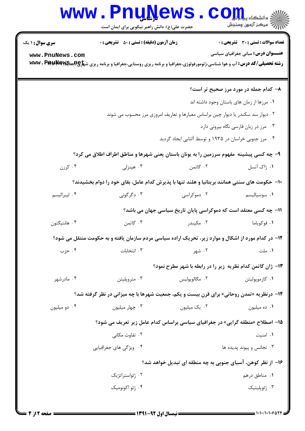## Www.PnuNews.com

| <b>سری سوال : ۱ یک</b><br>www.PnuNews.com | <b>زمان آزمون (دقیقه) : تستی : 50 ٪ تشریحی : 0</b>                                                                                                                 |                                                                                 | تعداد سوالات : تستي : 30 - تشريحي : 0<br><b>عنـــوان درس:</b> مبانی جغرافیای سیاسی |
|-------------------------------------------|--------------------------------------------------------------------------------------------------------------------------------------------------------------------|---------------------------------------------------------------------------------|------------------------------------------------------------------------------------|
|                                           | <b>رشته تحصیلی/کد درس: آب و هوا شناسی،ژئومورفولوژی،جغرافیا و برنامه ریزی روستایی،جغرافیا و برنامه ریزی ش<del>پلو@Rجهای</del>WG . P و هوا شناسی،ژئومورفولوژی، ت</b> |                                                                                 |                                                                                    |
|                                           |                                                                                                                                                                    |                                                                                 | ۸– کدام جمله در مورد مرز صحیح تر است؟                                              |
|                                           |                                                                                                                                                                    |                                                                                 | ٠١ مرزها از زمان هاى باستان وجود داشته اند                                         |
|                                           |                                                                                                                                                                    | ۰۲ دیوار سد سکندر یا دیوار چین براساس معیارها و تعاریف امروزی مرز محسوب می شوند |                                                                                    |
|                                           |                                                                                                                                                                    |                                                                                 | ۰۳ مرز در زبان فارسی نگاه بیرونی دارد                                              |
|                                           |                                                                                                                                                                    | ۰۴ مرز جنوبی خراسان در ۱۹۳۵ و توسط آلتایی ایجاد گردید                           |                                                                                    |
|                                           | ۹– چه کسی پیشینه ًمفهوم سرزمین را به یونان باستان یعنی شهرها و مناطق اطراف اطلاق می کرد؟                                                                           |                                                                                 |                                                                                    |
| کرزن $\cdot$ ۴                            | ۰۳ هینزلی                                                                                                                                                          | ۰۲ گاتمن                                                                        | ۰۱ ژاک آنسل                                                                        |
|                                           | <b>۱۰</b> - حکومت های سنتی همانند بریتانیا و هلند تنها با پذیرش کدام عامل، بقای خود را دوام بخشیدند؟                                                               |                                                                                 |                                                                                    |
| ۰۴ ليبراليسم                              | ۰۳ دگرگونی                                                                                                                                                         | ۰۲ دموکراسی                                                                     | ٠١ سوسياليسم                                                                       |
|                                           |                                                                                                                                                                    | 11- چه کسی معتقد است که دموکراسی پایان تاریخ سیاسی جهان می باشد؟                |                                                                                    |
| ۰۴ هانتيگتون                              | ۰۳ گاتمن                                                                                                                                                           | ۰۲ مکیندر                                                                       | ۰۱ فوکویاما                                                                        |
|                                           | ۱۲– در کدام مورد از اشکال و موارد زیر، تحریک اراده سیاسی مردم سازمان یافته و به حکومت منتقل می شود؟                                                                |                                                                                 |                                                                                    |
| ۰۴ حزب                                    | ۰۳ انتخابات                                                                                                                                                        | ۰۲ شهر                                                                          | ۰۱ ملت                                                                             |
|                                           |                                                                                                                                                                    | ۱۳- ژان گاتمن کدام نظریه زیر را در رابطه با شهر مطرح نمود؟                      |                                                                                    |
| ۰۴ مادرشهر                                | ۰۳ متروپلیتن                                                                                                                                                       | ۰۲ مگالوپوليس                                                                   | ۰۱ كازموپوليتن                                                                     |
|                                           | <b>۱۴</b> - درنظریه «تمدن روحانی» برای قرن بیست و یکم، جمعیت شهرها با چه میزانی در نظر گرفته شد؟                                                                   |                                                                                 |                                                                                    |
| ۰۴ دو میلیون                              | ۰۳ چهار میلیون                                                                                                                                                     | ۰۲ یک میلیون                                                                    | ۰۱ ده میلیون                                                                       |
|                                           |                                                                                                                                                                    | ۱۵– اصطلاح «منطقه گرایی» در جغرافیای سیاسی براساس کدام عامل زیر تعریف می شود؟   |                                                                                    |
|                                           | ۰۲ تفاوت مکانی                                                                                                                                                     |                                                                                 | ٠١. امنيت                                                                          |
|                                           | ۰۴ ویژگی های جغرافیایی                                                                                                                                             |                                                                                 | ۰۳ تجانس و پیوند پدیده ها                                                          |
|                                           |                                                                                                                                                                    | ۱۶– از نظر کوهن، آسیای جنوبی به چه منطقه ای تبدیل خواهد شد؟                     |                                                                                    |
|                                           | ۰۲ ژئواستراتژیک                                                                                                                                                    |                                                                                 | ٠١. مناطق درهم                                                                     |
|                                           | ۰۴ ژئو اکونومیک                                                                                                                                                    |                                                                                 | ۰۳ ژئوپلیتیک                                                                       |
|                                           |                                                                                                                                                                    |                                                                                 |                                                                                    |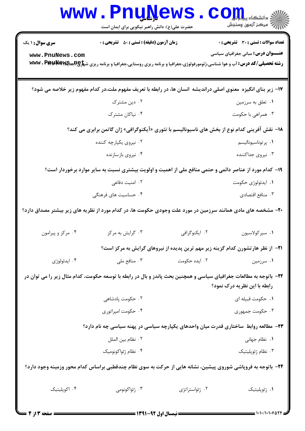| <b>WWW</b>                                | <u>LUÑÑAMP</u><br>حضرت علی(ع): دانش راهبر نیکویی برای ایمان است                                                                                                                                                                     |                                                                                         | دانشکاه پ <b>یا ب<sup>ا</sup> با<mark>ر</mark></b><br>رآ - مرڪز آزمون وسنڊش               |
|-------------------------------------------|-------------------------------------------------------------------------------------------------------------------------------------------------------------------------------------------------------------------------------------|-----------------------------------------------------------------------------------------|-------------------------------------------------------------------------------------------|
| <b>سری سوال : ۱ یک</b><br>www.PnuNews.com | <b>زمان آزمون (دقیقه) : تستی : 50 ٪ تشریحی : 0</b><br><b>رشته تحصیلی/کد درس: آب و هوا شناسی،ژئومورفولوژی،جغرافیا و برنامه ریزی روستایی،جغرافیا و برنامه ریزی ش<del>پلو@Rجهای</del>WG . P و هوا شناسی،ژئومورفولوژی، www . Pppp R</b> |                                                                                         | <b>تعداد سوالات : تستی : 30 ٪ تشریحی : 0</b><br><b>عنـــوان درس:</b> مبانی جغرافیای سیاسی |
|                                           | ۱۷- زیر بنای انگیزه ًمعنوی اصلی دراندیشه انسان ها، در رابطه با تعریف مفهوم ملت،در کدام مفهوم زیر خلاصه می شود؟                                                                                                                      |                                                                                         |                                                                                           |
|                                           | ۰۲ دین مشترک                                                                                                                                                                                                                        |                                                                                         | ۰۱ تعلق به سرزمین                                                                         |
|                                           | ۰۴ نیاکان مشترک                                                                                                                                                                                                                     |                                                                                         | ۰۳ همراهی با حکومت                                                                        |
|                                           | <b>۱۸</b> - نقش آفرینی کدام نوع از بخش های ناسیونالیسم با تئوری «آیکنوگرافی» ژان گاتمن برابری می کند؟                                                                                                                               |                                                                                         |                                                                                           |
|                                           | ۰۲ نیروی یکپارچه کننده                                                                                                                                                                                                              |                                                                                         | ٠١ پرتوناسيوناليسم                                                                        |
|                                           | ۰۴ نیروی بازسازنده                                                                                                                                                                                                                  |                                                                                         | ۰۳ نیروی جداکننده                                                                         |
|                                           | ۱۹- کدام مورد از عناصر دائمی و حتمی منافع ملی از اهمیت و اولویت بیشتری نسبت به سایر موارد برخوردار است؟                                                                                                                             |                                                                                         |                                                                                           |
|                                           | ۰۲ امنیت دفاعی                                                                                                                                                                                                                      |                                                                                         | ۰۱ ایدئولوژی حکومت                                                                        |
|                                           | ۰۴ حساسیت های فرهنگی                                                                                                                                                                                                                |                                                                                         | ۰۳ منافع اقتصادي                                                                          |
|                                           | +۲- مشخصه های مادی همانند سرزمین در مورد علت وجودی حکومت ها، در کدام مورد از نظریه های زیر بیشتر مصداق دارد؟                                                                                                                        |                                                                                         |                                                                                           |
| ۰۴ مرکز و پیرامون                         | ۰۳ گرايش به مركز                                                                                                                                                                                                                    | ۰۲ ایکنوگرافی                                                                           | ٠١ سيركولاسيون                                                                            |
|                                           |                                                                                                                                                                                                                                     | <b>۲۱</b> - از نظر هارتشورن کدام گزینه زیر مهم ترین پدیده از نیروهای گرایش به مرکز است؟ |                                                                                           |
| ۰۴ ايدئولوژي                              | ۰۳ منافع ملی                                                                                                                                                                                                                        | ۰۲ ایده حکومت                                                                           | ۰۱ سرزمین                                                                                 |
|                                           | ۲۲- باتوجه به مطالعات جغرافیای سیاسی و همچنین بحث پاندز و بال در رابطه با توسعه حکومت، کدام مثال زیر را می توان در                                                                                                                  |                                                                                         | رابطه با این نظریه درک نمود؟                                                              |
|                                           | ۰۲ حکومت پادشاهی                                                                                                                                                                                                                    |                                                                                         | ٠١ حكومت قبيله اي                                                                         |
|                                           | ۰۴ حکومت امپراتوري                                                                                                                                                                                                                  |                                                                                         | ۰۳ حکومت جمهوری                                                                           |
|                                           | ۲۳– مطالعه روابط ًساختاری قدرت میان واحدهای یکپارچه سیاسی در پهنه سیاسی چه نام دارد؟                                                                                                                                                |                                                                                         |                                                                                           |
|                                           | ٠٢ نظام بين الملل                                                                                                                                                                                                                   |                                                                                         | ۰۱ نظام جهانی                                                                             |
|                                           | ۰۴ نظام ژئواکونومیک                                                                                                                                                                                                                 |                                                                                         | ۰۳ نظام ژئوپلیتیک                                                                         |
|                                           | ۲۴– باتوجه به فروپاشی شوروی پیشین، نشانه هایی از حرکت به سوی نظام چندقطبی براساس کدام محور وزمینه وجود دارد؟                                                                                                                        |                                                                                         |                                                                                           |
| ۰۴ اکوپلیتیک                              | ۰۳ ژئواکونومی                                                                                                                                                                                                                       | ۰۲ ژئواستراتژی                                                                          | ٠١ ژئوپليتيک                                                                              |
|                                           |                                                                                                                                                                                                                                     |                                                                                         |                                                                                           |